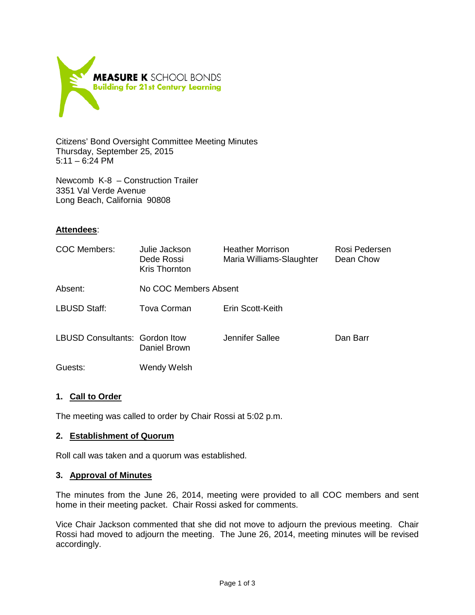

Citizens' Bond Oversight Committee Meeting Minutes Thursday, September 25, 2015 5:11 – 6:24 PM

Newcomb K-8 – Construction Trailer 3351 Val Verde Avenue Long Beach, California 90808

### **Attendees**:

| COC Members:                          | Julie Jackson<br>Dede Rossi<br>Kris Thornton | <b>Heather Morrison</b><br>Maria Williams-Slaughter | Rosi Pedersen<br>Dean Chow |
|---------------------------------------|----------------------------------------------|-----------------------------------------------------|----------------------------|
| Absent:                               | No COC Members Absent                        |                                                     |                            |
| <b>LBUSD Staff:</b>                   | Tova Corman                                  | Erin Scott-Keith                                    |                            |
| <b>LBUSD Consultants: Gordon Itow</b> | Daniel Brown                                 | Jennifer Sallee                                     | Dan Barr                   |
| Guests:                               | Wendy Welsh                                  |                                                     |                            |

# **1. Call to Order**

The meeting was called to order by Chair Rossi at 5:02 p.m.

#### **2. Establishment of Quorum**

Roll call was taken and a quorum was established.

#### **3. Approval of Minutes**

The minutes from the June 26, 2014, meeting were provided to all COC members and sent home in their meeting packet. Chair Rossi asked for comments.

Vice Chair Jackson commented that she did not move to adjourn the previous meeting. Chair Rossi had moved to adjourn the meeting. The June 26, 2014, meeting minutes will be revised accordingly.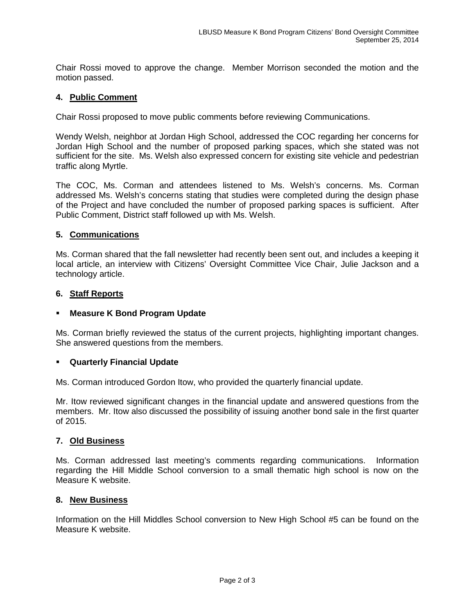Chair Rossi moved to approve the change. Member Morrison seconded the motion and the motion passed.

#### **4. Public Comment**

Chair Rossi proposed to move public comments before reviewing Communications.

Wendy Welsh, neighbor at Jordan High School, addressed the COC regarding her concerns for Jordan High School and the number of proposed parking spaces, which she stated was not sufficient for the site. Ms. Welsh also expressed concern for existing site vehicle and pedestrian traffic along Myrtle.

The COC, Ms. Corman and attendees listened to Ms. Welsh's concerns. Ms. Corman addressed Ms. Welsh's concerns stating that studies were completed during the design phase of the Project and have concluded the number of proposed parking spaces is sufficient. After Public Comment, District staff followed up with Ms. Welsh.

### **5. Communications**

Ms. Corman shared that the fall newsletter had recently been sent out, and includes a keeping it local article, an interview with Citizens' Oversight Committee Vice Chair, Julie Jackson and a technology article.

#### **6. Staff Reports**

#### **Measure K Bond Program Update**

Ms. Corman briefly reviewed the status of the current projects, highlighting important changes. She answered questions from the members.

#### **Quarterly Financial Update**

Ms. Corman introduced Gordon Itow, who provided the quarterly financial update.

Mr. Itow reviewed significant changes in the financial update and answered questions from the members. Mr. Itow also discussed the possibility of issuing another bond sale in the first quarter of 2015.

#### **7. Old Business**

Ms. Corman addressed last meeting's comments regarding communications. Information regarding the Hill Middle School conversion to a small thematic high school is now on the Measure K website.

#### **8. New Business**

Information on the Hill Middles School conversion to New High School #5 can be found on the Measure K website.